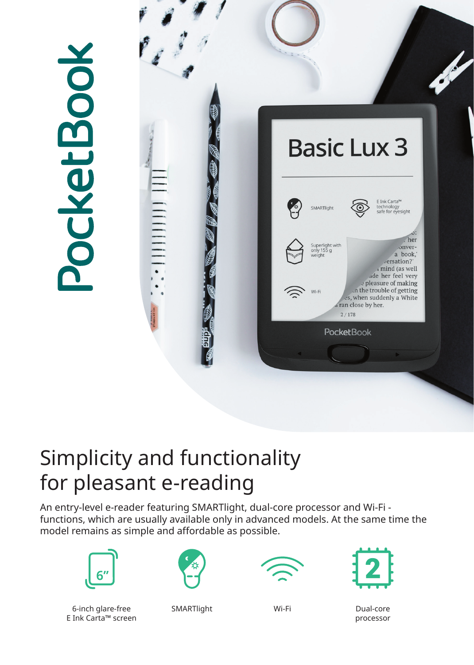

## Simplicity and functionality for pleasant e-reading

An entry-level e-reader featuring SMARTlight, dual-core processor and Wi-Fi functions, which are usually available only in advanced models. At the same time the model remains as simple and affordable as possible.



6-inch glare-free SMARTlight Wi-Fi E Ink Carta™ screen







Dual-core processor